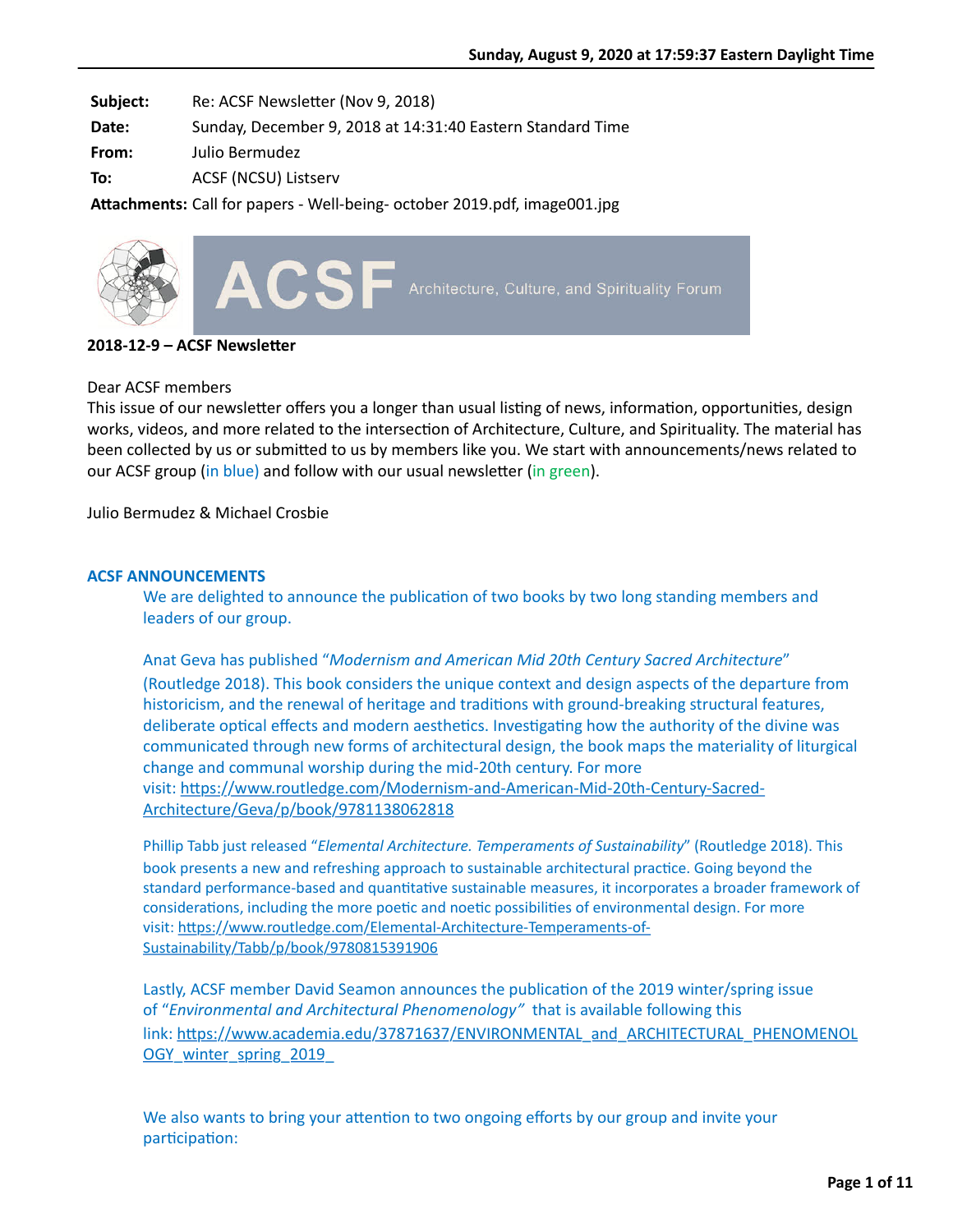**Subject:** Re: ACSF Newsletter (Nov 9, 2018)

**Date:** Sunday, December 9, 2018 at 14:31:40 Eastern Standard Time

**From:** Julio Bermudez

**To:** ACSF (NCSU) Listserv

Attachments: Call for papers - Well-being- october 2019.pdf, image001.jpg



**2018-12-9 – ACSF Newsletter** 

#### Dear ACSF members

This issue of our newsletter offers you a longer than usual listing of news, information, opportunities, design works, videos, and more related to the intersection of Architecture, Culture, and Spirituality. The material has been collected by us or submitted to us by members like you. We start with announcements/news related to our ACSF group (in blue) and follow with our usual newsletter (in green).

Julio Bermudez & Michael Crosbie

## **ACSF ANNOUNCEMENTS**

We are delighted to announce the publication of two books by two long standing members and leaders of our group.

Anat Geva has published "*Modernism and American Mid 20th Century Sacred Architecture*" (Routledge 2018). This book considers the unique context and design aspects of the departure from historicism, and the renewal of heritage and traditions with ground-breaking structural features, deliberate optical effects and modern aesthetics. Investigating how the authority of the divine was communicated through new forms of architectural design, the book maps the materiality of liturgical change and communal worship during the mid-20th century. For more visit: https://www.routledge.com/Modernism-and-American-Mid-20th-Century-Sacred-Architecture/Geva/p/book/9781138062818

Phillip Tabb just released "*Elemental Architecture. Temperaments of Sustainability*" (Routledge 2018). This book presents a new and refreshing approach to sustainable architectural practice. Going beyond the standard performance-based and quantitative sustainable measures, it incorporates a broader framework of considerations, including the more poetic and noetic possibilities of environmental design. For more visit: https://www.routledge.com/Elemental-Architecture-Temperaments-of-Sustainability/Tabb/p/book/9780815391906

Lastly, ACSF member David Seamon announces the publication of the 2019 winter/spring issue of "*Environmental and Architectural Phenomenology"* that is available following this link: https://www.academia.edu/37871637/ENVIRONMENTAL\_and\_ARCHITECTURAL\_PHENOMENOL OGY\_winter\_spring\_2019\_

We also wants to bring your attention to two ongoing efforts by our group and invite your participation: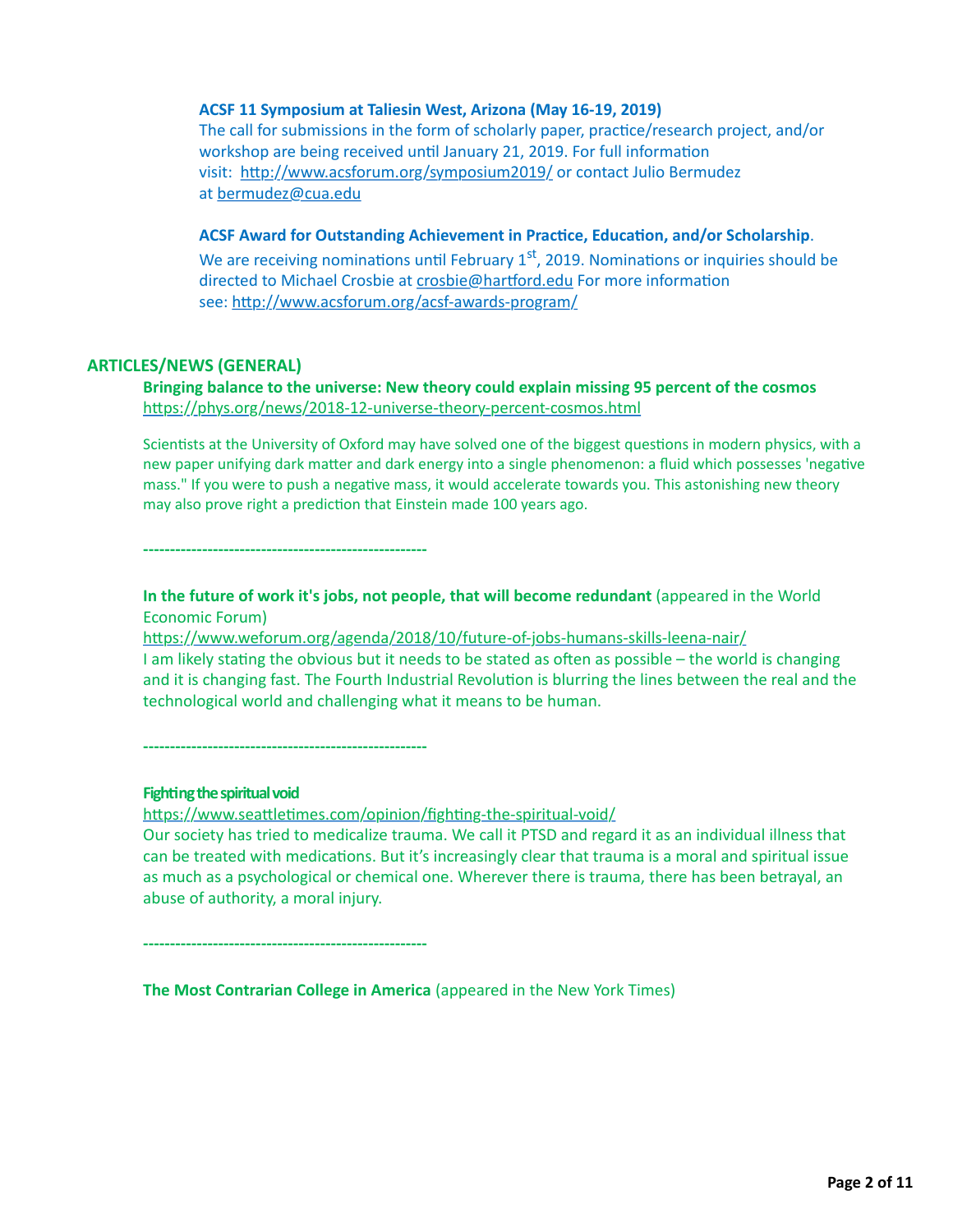#### **ACSF 11 Symposium at Taliesin West, Arizona (May 16-19, 2019)**

The call for submissions in the form of scholarly paper, practice/research project, and/or workshop are being received until January 21, 2019. For full information visit: http://www.acsforum.org/symposium2019/ or contact Julio Bermudez at [bermudez@cua.edu](mailto:bermudez@cua.edu)

#### ACSF Award for Outstanding Achievement in Practice, Education, and/or Scholarship.

We are receiving nominations until February  $1<sup>st</sup>$ , 2019. Nominations or inquiries should be directed to Michael Crosbie at crosbie@hartford.edu For more information see: http://www.acsforum.org/acsf-awards-program/

#### **ARTICLES/NEWS (GENERAL)**

**Bringing balance to the universe: New theory could explain missing 95 percent of the cosmos** https://phys.org/news/2018-12-universe-theory-percent-cosmos.html

Scientists at the University of Oxford may have solved one of the biggest questions in modern physics, with a new paper unifying dark matter and dark energy into a single phenomenon: a fluid which possesses 'negative mass." If you were to push a negative mass, it would accelerate towards you. This astonishing new theory may also prove right a prediction that Einstein made 100 years ago.

**-----------------------------------------------------**

**In the future of work it's jobs, not people, that will become redundant** (appeared in the World Economic Forum)

https://www.weforum.org/agenda/2018/10/future-of-jobs-humans-skills-leena-nair/ I am likely stating the obvious but it needs to be stated as often as possible – the world is changing and it is changing fast. The Fourth Industrial Revolution is blurring the lines between the real and the technological world and challenging what it means to be human.

**-----------------------------------------------------**

#### **Fighting the spiritual void**

https://www.seattletimes.com/opinion/fighting-the-spiritual-void/

Our society has tried to medicalize trauma. We call it PTSD and regard it as an individual illness that can be treated with medications. But it's increasingly clear that trauma is a moral and spiritual issue as much as a psychological or chemical one. Wherever there is trauma, there has been betrayal, an abuse of authority, a moral injury.

**-----------------------------------------------------**

**The Most Contrarian College in America** (appeared in the New York Times)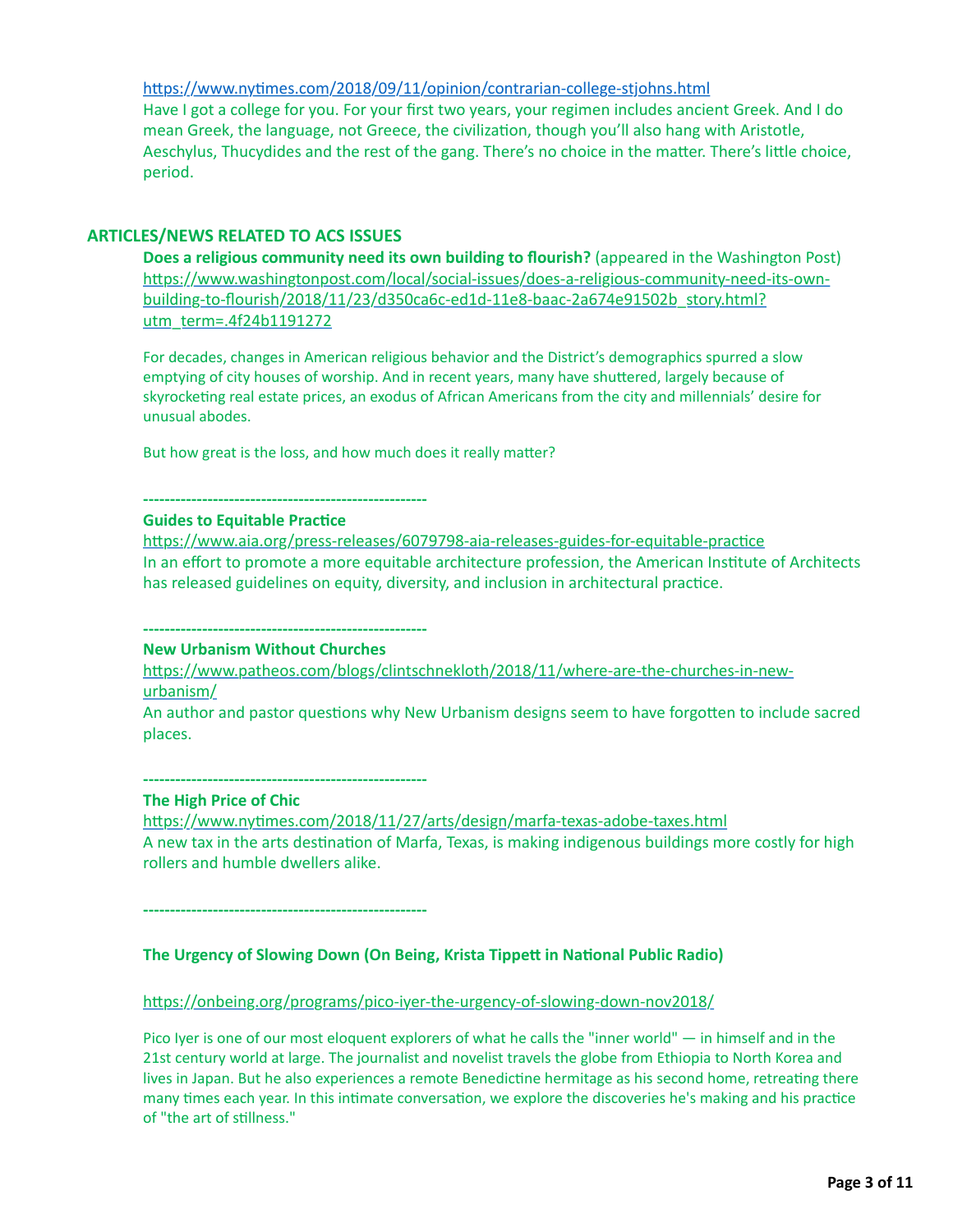https://www.nytimes.com/2018/09/11/opinion/contrarian-college-stjohns.html Have I got a college for you. For your first two years, your regimen includes ancient Greek. And I do mean Greek, the language, not Greece, the civilization, though you'll also hang with Aristotle, Aeschylus, Thucydides and the rest of the gang. There's no choice in the matter. There's little choice, period.

#### **ARTICLES/NEWS RELATED TO ACS ISSUES**

**Does a religious community need its own building to flourish?** (appeared in the Washington Post) https://www.washingtonpost.com/local/social-issues/does-a-religious-community-need-its-ownbuilding-to-flourish/2018/11/23/d350ca6c-ed1d-11e8-baac-2a674e91502b\_story.html? utm\_term=.4f24b1191272

For decades, changes in American religious behavior and the District's demographics spurred a slow emptying of city houses of worship. And in recent years, many have shuttered, largely because of skyrocketing real estate prices, an exodus of African Americans from the city and millennials' desire for unusual abodes.

But how great is the loss, and how much does it really matter?

#### **----------------------------------------------------- Guides to Equitable Practice**

https://www.aia.org/press-releases/6079798-aia-releases-guides-for-equitable-practice In an effort to promote a more equitable architecture profession, the American Institute of Architects has released guidelines on equity, diversity, and inclusion in architectural practice.

# **-----------------------------------------------------**

**New Urbanism Without Churches**

https://www.patheos.com/blogs/clintschnekloth/2018/11/where-are-the-churches-in-newurbanism/

An author and pastor questions why New Urbanism designs seem to have forgotten to include sacred places.

**-----------------------------------------------------**

#### **The High Price of Chic**

https://www.nytimes.com/2018/11/27/arts/design/marfa-texas-adobe-taxes.html A new tax in the arts destination of Marfa, Texas, is making indigenous buildings more costly for high rollers and humble dwellers alike.

**-----------------------------------------------------**

#### **The Urgency of Slowing Down (On Being, Krista Tippett in National Public Radio)**

https://onbeing.org/programs/pico-iyer-the-urgency-of-slowing-down-nov2018/

Pico Iyer is one of our most eloquent explorers of what he calls the "inner world" — in himself and in the 21st century world at large. The journalist and novelist travels the globe from Ethiopia to North Korea and lives in Japan. But he also experiences a remote Benedictine hermitage as his second home, retreating there many times each year. In this intimate conversation, we explore the discoveries he's making and his practice of "the art of stillness."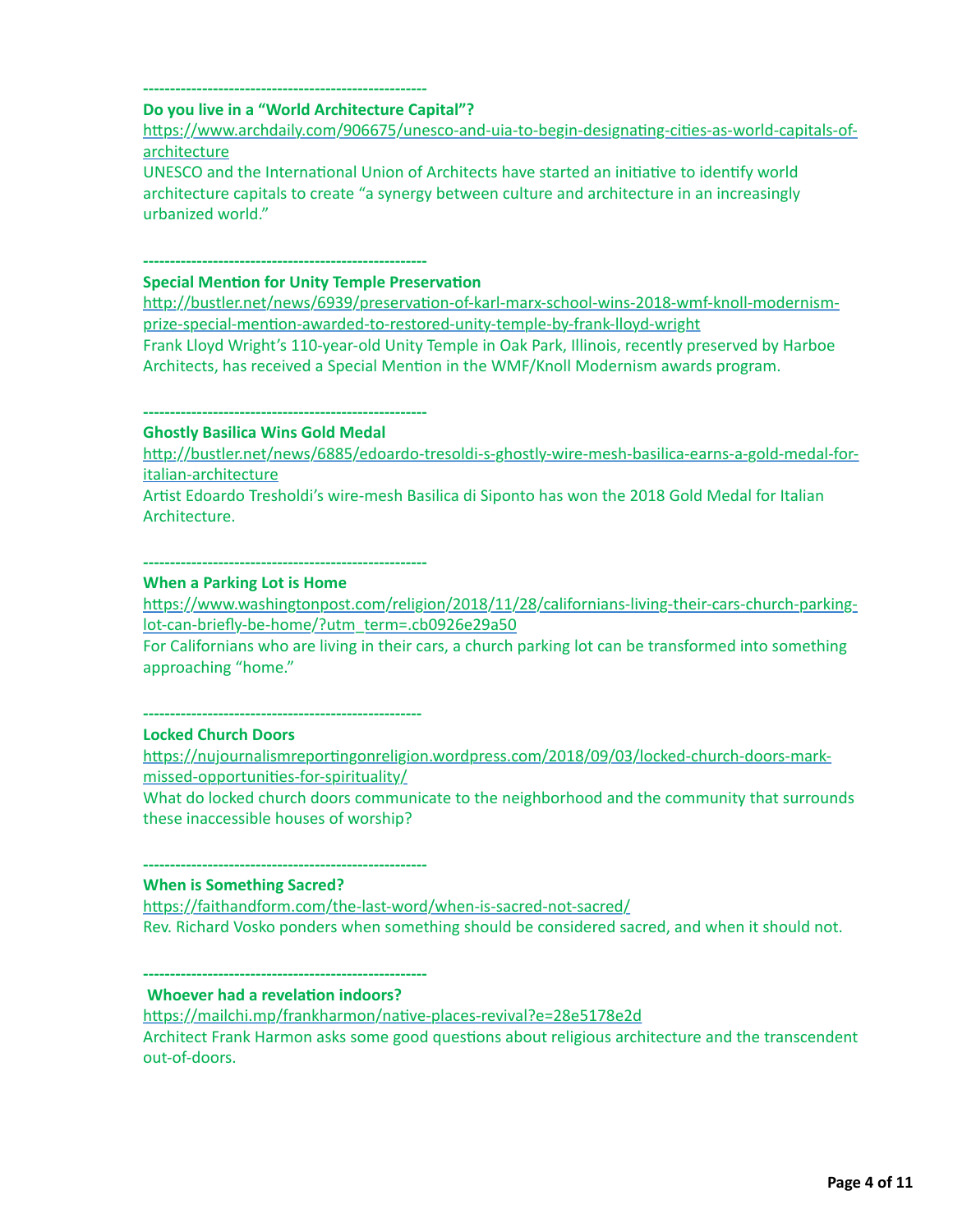#### **----------------------------------------------------- Do you live in a "World Architecture Capital"?**

https://www.archdaily.com/906675/unesco-and-uia-to-begin-designating-cities-as-world-capitals-ofarchitecture

UNESCO and the International Union of Architects have started an initiative to identify world architecture capitals to create "a synergy between culture and architecture in an increasingly urbanized world."

## **-----------------------------------------------------**

## **Special Mention for Unity Temple Preservation**

http://bustler.net/news/6939/preservation-of-karl-marx-school-wins-2018-wmf-knoll-modernismprize-special-mention-awarded-to-restored-unity-temple-by-frank-lloyd-wright Frank Lloyd Wright's 110-year-old Unity Temple in Oak Park, Illinois, recently preserved by Harboe Architects, has received a Special Mention in the WMF/Knoll Modernism awards program.

#### **----------------------------------------------------- Ghostly Basilica Wins Gold Medal**

http://bustler.net/news/6885/edoardo-tresoldi-s-ghostly-wire-mesh-basilica-earns-a-gold-medal-foritalian-architecture

Artist Edoardo Tresholdi's wire-mesh Basilica di Siponto has won the 2018 Gold Medal for Italian Architecture.

**-----------------------------------------------------**

#### **When a Parking Lot is Home**

https://www.washingtonpost.com/religion/2018/11/28/californians-living-their-cars-church-parkinglot-can-briefly-be-home/?utm\_term=.cb0926e29a50

For Californians who are living in their cars, a church parking lot can be transformed into something approaching "home."

**----------------------------------------------------**

## **Locked Church Doors**

https://nujournalismreportingonreligion.wordpress.com/2018/09/03/locked-church-doors-markmissed-opportunities-for-spirituality/

What do locked church doors communicate to the neighborhood and the community that surrounds these inaccessible houses of worship?

#### **----------------------------------------------------- When is Something Sacred?**

https://faithandform.com/the-last-word/when-is-sacred-not-sacred/ Rev. Richard Vosko ponders when something should be considered sacred, and when it should not.

#### **----------------------------------------------------- Whoever had a revelation indoors?**

https://mailchi.mp/frankharmon/native-places-revival?e=28e5178e2d Architect Frank Harmon asks some good questions about religious architecture and the transcendent out-of-doors.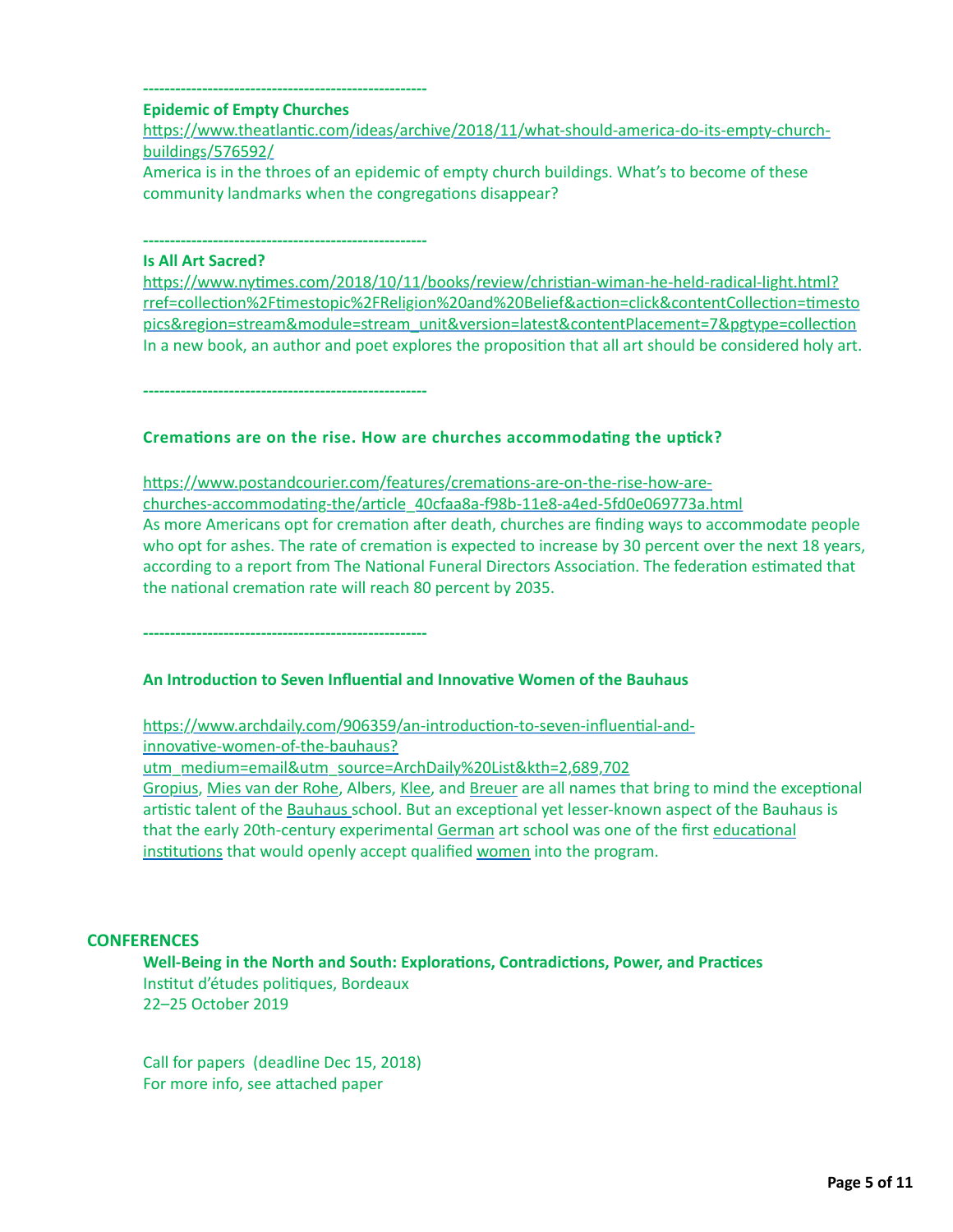#### **----------------------------------------------------- Epidemic of Empty Churches**

https://www.theatlantic.com/ideas/archive/2018/11/what-should-america-do-its-empty-churchbuildings/576592/

America is in the throes of an epidemic of empty church buildings. What's to become of these community landmarks when the congregations disappear?

**-----------------------------------------------------**

## **Is All Art Sacred?**

https://www.nytimes.com/2018/10/11/books/review/christian-wiman-he-held-radical-light.html? rref=collection%2Ftimestopic%2FReligion%20and%20Belief&action=click&contentCollection=timesto pics&region=stream&module=stream\_unit&version=latest&contentPlacement=7&pgtype=collection In a new book, an author and poet explores the proposition that all art should be considered holy art.

**-----------------------------------------------------**

## Cremations are on the rise. How are churches accommodating the uptick?

https://www.postandcourier.com/features/cremations-are-on-the-rise-how-arechurches-accommodating-the/article\_40cfaa8a-f98b-11e8-a4ed-5fd0e069773a.html As more Americans opt for cremation after death, churches are finding ways to accommodate people who opt for ashes. The rate of cremation is expected to increase by 30 percent over the next 18 years, according to a report from The National Funeral Directors Association. The federation estimated that the national cremation rate will reach 80 percent by 2035.

**-----------------------------------------------------**

## **An Introduction to Seven Influential and Innovative Women of the Bauhaus**

https://www.archdaily.com/906359/an-introduction-to-seven-influential-andinnovative-women-of-the-bauhaus?

utm\_medium=email&utm\_source=ArchDaily%20List&kth=2,689,702

[Gropius,](https://www.archdaily.com/tag/walter-gropius) [Mies van der Rohe,](https://www.archdaily.com/tag/mies-van-der-rohe) Albers, [Klee,](https://www.archdaily.com/tag/paul-klee) and [Breuer](https://www.archdaily.com/tag/marcel-breuer) are all names that bring to mind the exceptional artistic talent of the [Bauhaus](https://www.archdaily.com/tag/bauhaus) school. But an exceptional yet lesser-known aspect of the Bauhaus is that the early 20th-century experimental [German](https://www.archdaily.com/country/germany) art school was one of the first educational institutions that would openly accept qualified women into the program.

#### **CONFERENCES**

**Well-Being in the North and South: Explorations, Contradictions, Power, and Practices** Institut d'études politiques, Bordeaux 22–25 October 2019

Call for papers (deadline Dec 15, 2018) For more info, see attached paper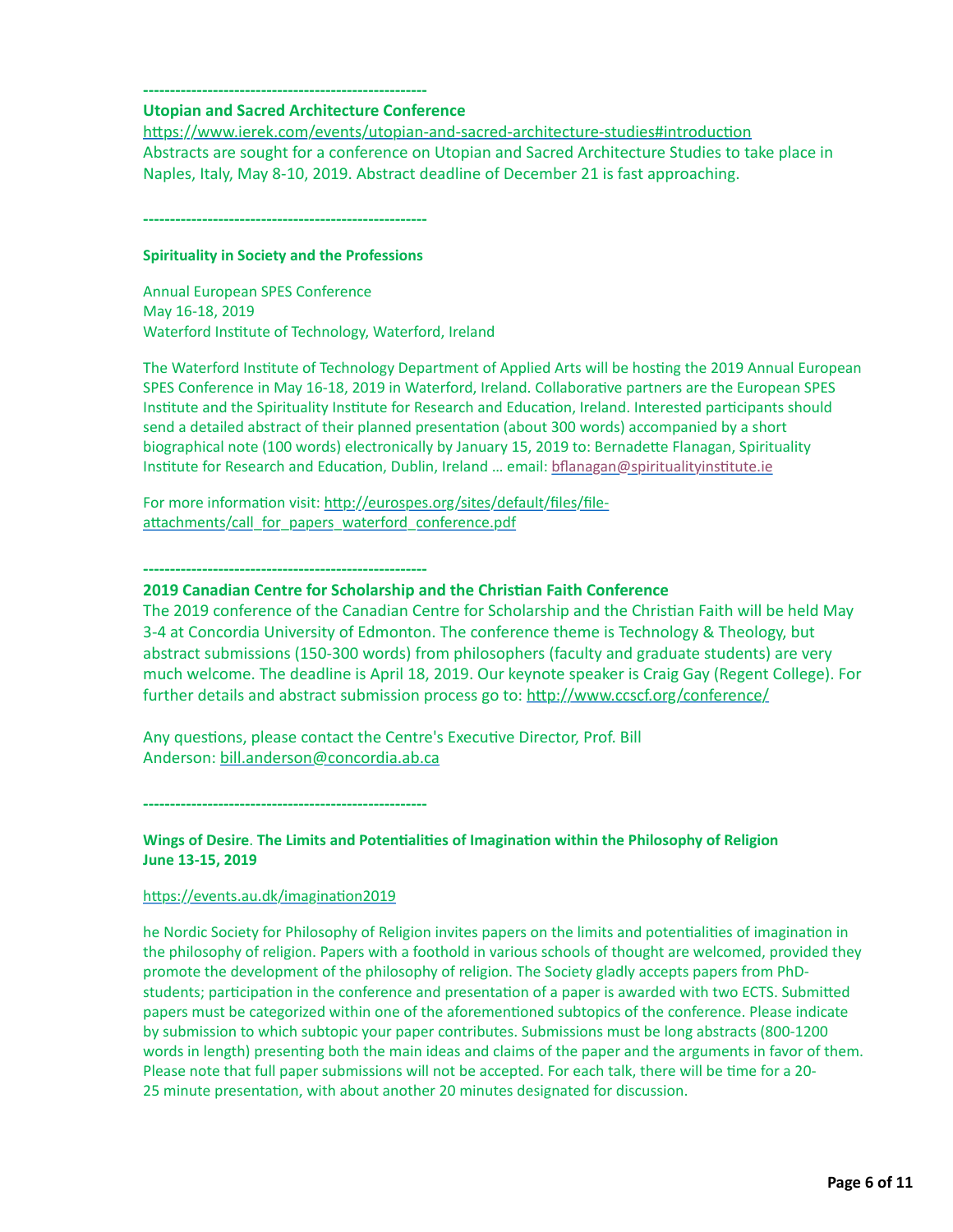#### **----------------------------------------------------- Utopian and Sacred Architecture Conference**

https://www.ierek.com/events/utopian-and-sacred-architecture-studies#introduction Abstracts are sought for a conference on Utopian and Sacred Architecture Studies to take place in Naples, Italy, May 8-10, 2019. Abstract deadline of December 21 is fast approaching.

**-----------------------------------------------------**

#### **Spirituality in Society and the Professions**

Annual European SPES Conference May 16-18, 2019 Waterford Institute of Technology, Waterford, Ireland

The Waterford Institute of Technology Department of Applied Arts will be hosting the 2019 Annual European SPES Conference in May 16-18, 2019 in Waterford, Ireland. Collaborative partners are the European SPES Institute and the Spirituality Institute for Research and Education, Ireland. Interested participants should send a detailed abstract of their planned presentation (about 300 words) accompanied by a short biographical note (100 words) electronically by January 15, 2019 to: Bernadette Flanagan, Spirituality Institute for Research and Education, Dublin, Ireland ... email: bflanagan@spiritualityinstitute.ie

For more information visit: http://eurospes.org/sites/default/files/fileattachments/call\_for\_papers\_waterford\_conference.pdf

**-----------------------------------------------------**

#### **2019 Canadian Centre for Scholarship and the Christian Faith Conference**

The 2019 conference of the Canadian Centre for Scholarship and the Christian Faith will be held May 3-4 at Concordia University of Edmonton. The conference theme is Technology & Theology, but abstract submissions (150-300 words) from philosophers (faculty and graduate students) are very much welcome. The deadline is April 18, 2019. Our keynote speaker is Craig Gay (Regent College). For further details and abstract submission process go to: http://www.ccscf.org/conference/

Any questions, please contact the Centre's Executive Director, Prof. Bill Anderson: [bill.anderson@concordia.ab.ca](mailto:bill.anderson@concordia.ab.ca)

**-----------------------------------------------------**

#### **Wings of Desire. The Limits and Potentialities of Imagination within the Philosophy of Religion June 13-15, 2019**

#### https://events.au.dk/imagination2019

he Nordic Society for Philosophy of Religion invites papers on the limits and potentialities of imagination in the philosophy of religion. Papers with a foothold in various schools of thought are welcomed, provided they promote the development of the philosophy of religion. The Society gladly accepts papers from PhDstudents; participation in the conference and presentation of a paper is awarded with two ECTS. Submitted papers must be categorized within one of the aforementioned subtopics of the conference. Please indicate by submission to which subtopic your paper contributes. Submissions must be long abstracts (800-1200 words in length) presenting both the main ideas and claims of the paper and the arguments in favor of them. Please note that full paper submissions will not be accepted. For each talk, there will be time for a 20-25 minute presentation, with about another 20 minutes designated for discussion.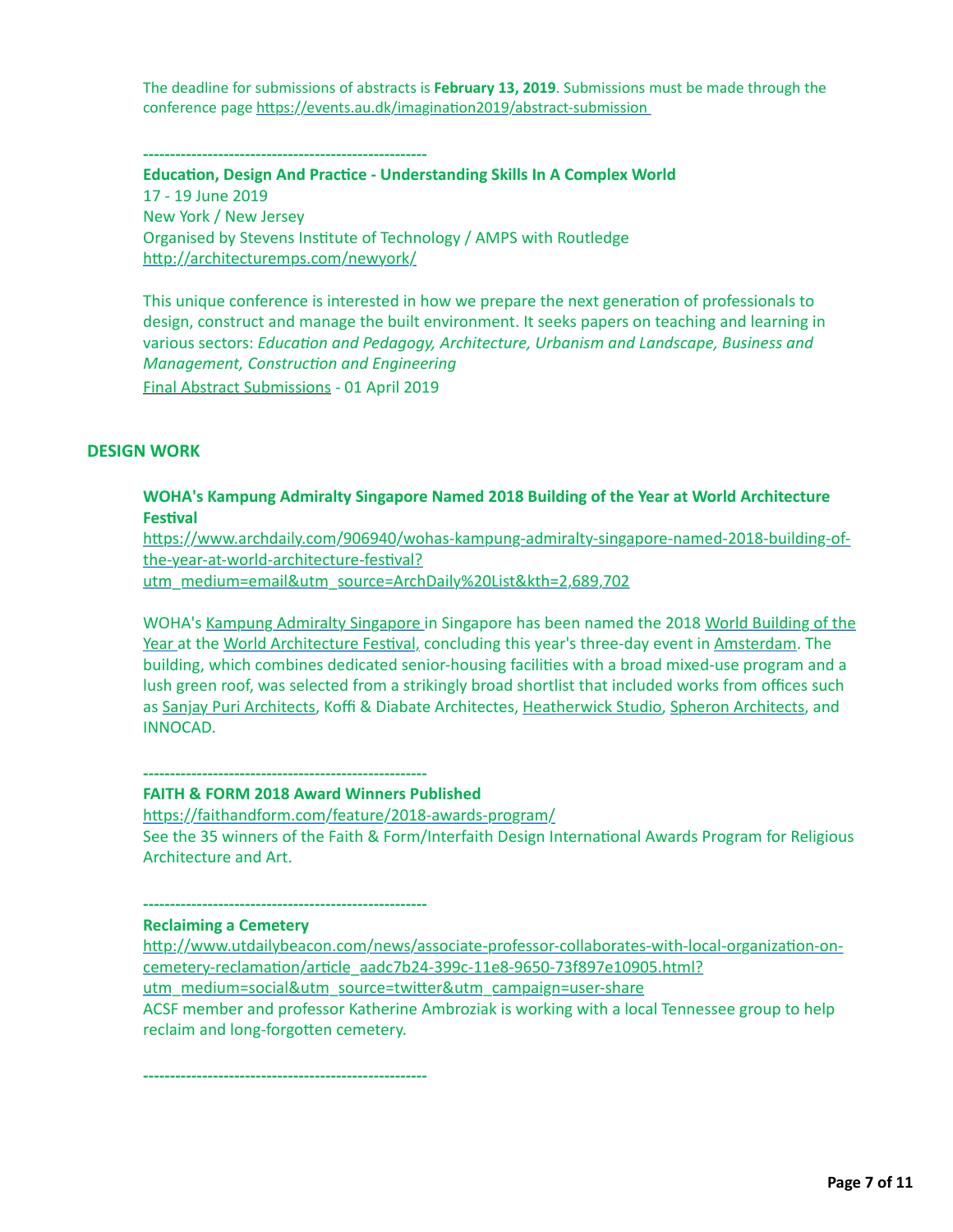The deadline for submissions of abstracts is **February 13, 2019**. Submissions must be made through the conference page https://events.au.dk/imagination2019/abstract-submission

**-----------------------------------------------------**

**Education, Design And Practice - Understanding Skills In A Complex World** 17 - 19 June 2019 New York / New Jersey Organised by Stevens Institute of Technology / AMPS with Routledge http://architecturemps.com/newyork/

This unique conference is interested in how we prepare the next generation of professionals to design, construct and manage the built environment. It seeks papers on teaching and learning in various sectors: *Education and Pedagogy, Architecture, Urbanism and Landscape, Business and Management, Construction and Engineering* Final Abstract Submissions - 01 April 2019

#### **DESIGN WORK**

#### **WOHA's Kampung Admiralty Singapore Named 2018 Building of the Year at World Architecture Festival**

https://www.archdaily.com/906940/wohas-kampung-admiralty-singapore-named-2018-building-ofthe-year-at-world-architecture-festival?

utm\_medium=email&utm\_source=ArchDaily%20List&kth=2,689,702

[WOHA's](https://www.archdaily.com/tag/world-building-of-the-year) [Kampung Admiralty Singapore](https://www.archdaily.com/904646/kampung-admiralty-woha) [in Singapore has been named the 2018 World Building of the](https://www.archdaily.com/tag/world-building-of-the-year) Year at the World Architecture Festival, concluding this year's three-day event in [Amsterdam](https://www.archdaily.com/906940/archdaily.com/tag/amsterdam). The building, which combines dedicated senior-housing facilities with a broad mixed-use program and a lush green roof, was selected from a strikingly broad shortlist that included works from offices such as [Sanjay Puri Architects,](https://www.archdaily.com/tag/sanjay-puri-architects) Koffi & Diabate Architectes, [Heatherwick Studio](https://www.archdaily.com/tag/heatherwick-studio), [Spheron Architects](https://www.archdaily.com/tag/spheron-architects), and INNOCAD.

**----------------------------------------------------- FAITH & FORM 2018 Award Winners Published**

https://faithandform.com/feature/2018-awards-program/ See the 35 winners of the Faith & Form/Interfaith Design International Awards Program for Religious Architecture and Art.

**-----------------------------------------------------**

## **Reclaiming a Cemetery**

http://www.utdailybeacon.com/news/associate-professor-collaborates-with-local-organization-oncemetery-reclamation/article\_aadc7b24-399c-11e8-9650-73f897e10905.html? utm\_medium=social&utm\_source=twitter&utm\_campaign=user-share ACSF member and professor Katherine Ambroziak is working with a local Tennessee group to help reclaim and long-forgotten cemetery.

**-----------------------------------------------------**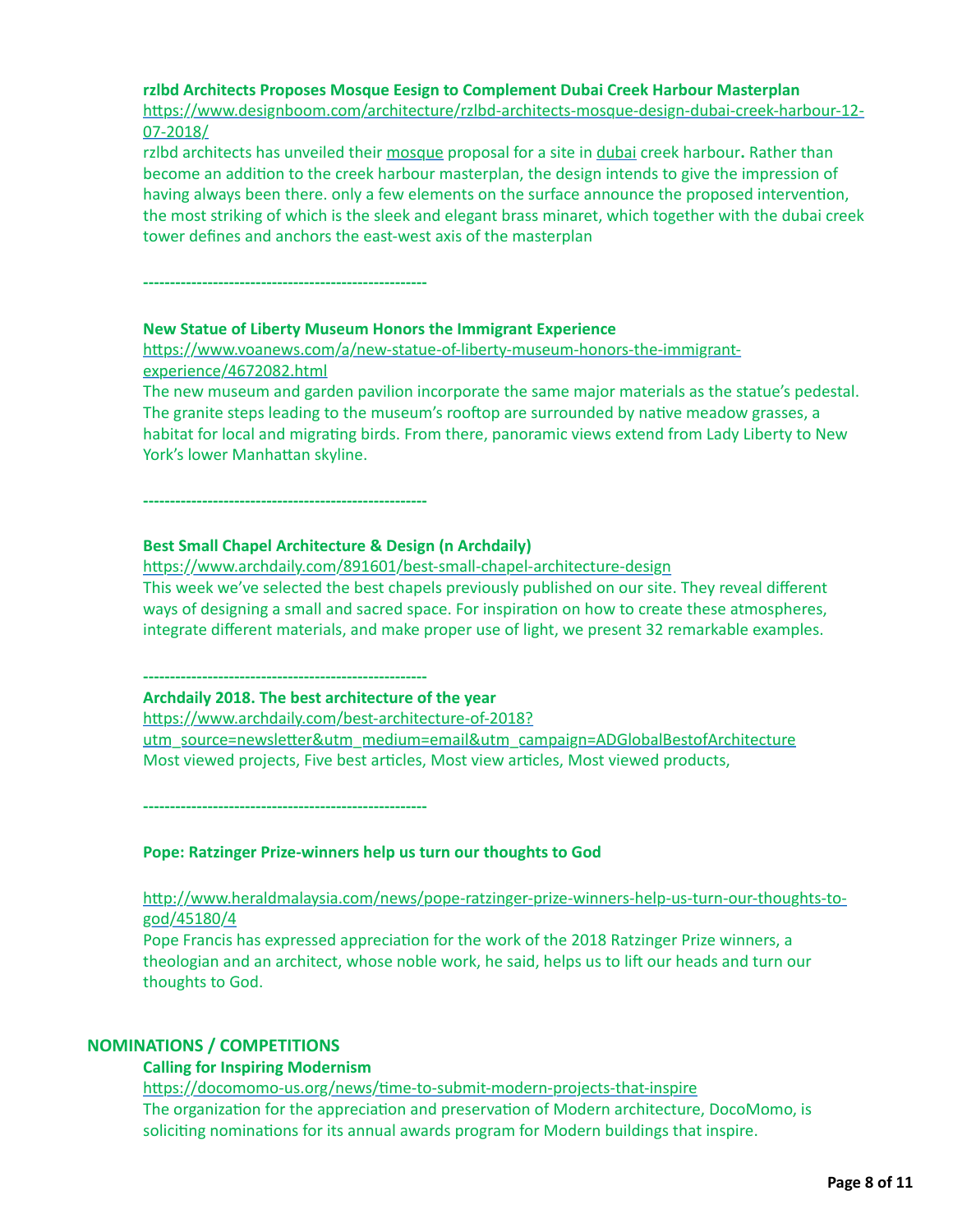#### **rzlbd Architects Proposes Mosque Eesign to Complement Dubai Creek Harbour Masterplan**

https://www.designboom.com/architecture/rzlbd-architects-mosque-design-dubai-creek-harbour-12-07-2018/

rzlbd architects has unveiled their [mosque](https://www.designboom.com/tag/mosque-architecture-and-design/) proposal for a site in [dubai](https://www.designboom.com/tag/architecture-in-the-united-arab-emirates/) creek harbour**.** Rather than become an addition to the creek harbour masterplan, the design intends to give the impression of having always been there. only a few elements on the surface announce the proposed intervention, the most striking of which is the sleek and elegant brass minaret, which together with the dubai creek tower defines and anchors the east-west axis of the masterplan

**-----------------------------------------------------**

#### **New Statue of Liberty Museum Honors the Immigrant Experience**

https://www.voanews.com/a/new-statue-of-liberty-museum-honors-the-immigrantexperience/4672082.html

The new museum and garden pavilion incorporate the same major materials as the statue's pedestal. The granite steps leading to the museum's rooftop are surrounded by native meadow grasses, a habitat for local and migrating birds. From there, panoramic views extend from Lady Liberty to New York's lower Manhattan skyline.

**-----------------------------------------------------**

#### **Best Small Chapel Architecture & Design (n Archdaily)**

https://www.archdaily.com/891601/best-small-chapel-architecture-design This week we've selected the best chapels previously published on our site. They reveal different ways of designing a small and sacred space. For inspiration on how to create these atmospheres, integrate different materials, and make proper use of light, we present 32 remarkable examples.

**-----------------------------------------------------**

#### **Archdaily 2018. The best architecture of the year**

https://www.archdaily.com/best-architecture-of-2018? utm\_source=newsletter&utm\_medium=email&utm\_campaign=ADGlobalBestofArchitecture Most viewed projects, Five best articles, Most view articles, Most viewed products,

**-----------------------------------------------------**

#### **Pope: Ratzinger Prize-winners help us turn our thoughts to God**

http://www.heraldmalaysia.com/news/pope-ratzinger-prize-winners-help-us-turn-our-thoughts-togod/45180/4

Pope Francis has expressed appreciation for the work of the 2018 Ratzinger Prize winners, a theologian and an architect, whose noble work, he said, helps us to lift our heads and turn our thoughts to God.

#### **NOMINATIONS / COMPETITIONS**

#### **Calling for Inspiring Modernism**

https://docomomo-us.org/news/time-to-submit-modern-projects-that-inspire The organization for the appreciation and preservation of Modern architecture, DocoMomo, is soliciting nominations for its annual awards program for Modern buildings that inspire.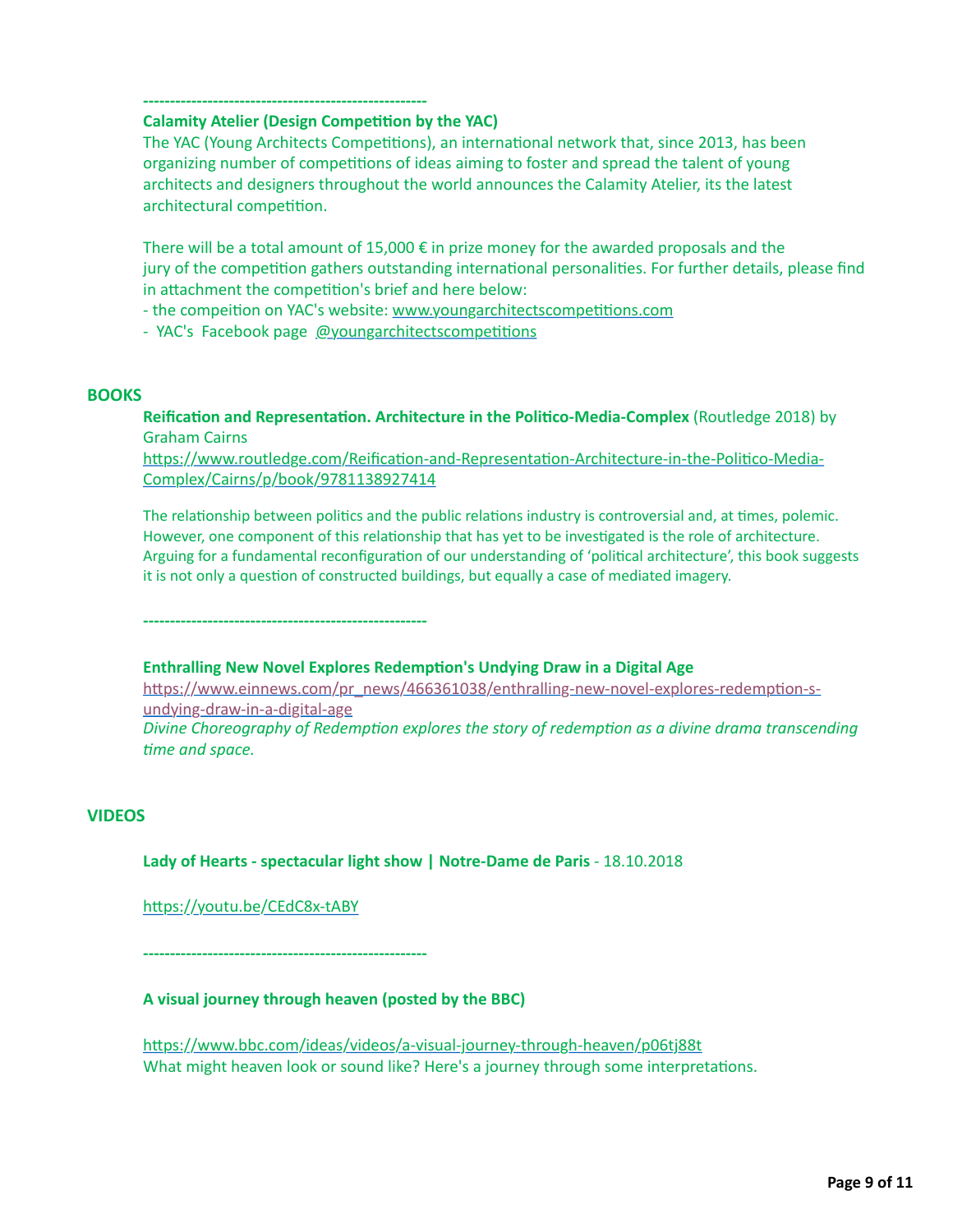#### **----------------------------------------------------- Calamity Atelier (Design Competition by the YAC)**

The YAC (Young Architects Competitions), an international network that, since 2013, has been organizing number of competitions of ideas aiming to foster and spread the talent of young architects and designers throughout the world announces the Calamity Atelier, its the latest architectural competition.

There will be a total amount of  $15,000 \in \mathbb{N}$  prize money for the awarded proposals and the jury of the competition gathers outstanding international personalities. For further details, please find in attachment the competition's brief and here below:

- the compeition on YAC's website: www.youngarchitectscompetitions.com

- YAC's Facebook page @youngarchitectscompetitions

#### **BOOKS**

**Reification and Representation. Architecture in the Politico-Media-Complex** (Routledge 2018) by Graham Cairns

https://www.routledge.com/Reification-and-Representation-Architecture-in-the-Politico-Media-Complex/Cairns/p/book/9781138927414

The relationship between politics and the public relations industry is controversial and, at times, polemic. However, one component of this relationship that has yet to be investigated is the role of architecture. Arguing for a fundamental reconfiguration of our understanding of 'political architecture', this book suggests it is not only a question of constructed buildings, but equally a case of mediated imagery.

**-----------------------------------------------------**

#### **Enthralling New Novel Explores Redemption's Undying Draw in a Digital Age**

https://www.einnews.com/pr\_news/466361038/enthralling-new-novel-explores-redemption-sundying-draw-in-a-digital-age *Divine Choreography of Redemption explores the story of redemption as a divine drama transcending* time and space.

#### **VIDEOS**

#### **Lady of Hearts - spectacular light show | Notre-Dame de Paris** - 18.10.2018

https://youtu.be/CEdC8x-tABY

**-----------------------------------------------------**

#### **A visual journey through heaven (posted by the BBC)**

https://www.bbc.com/ideas/videos/a-visual-journey-through-heaven/p06tj88t What might heaven look or sound like? Here's a journey through some interpretations.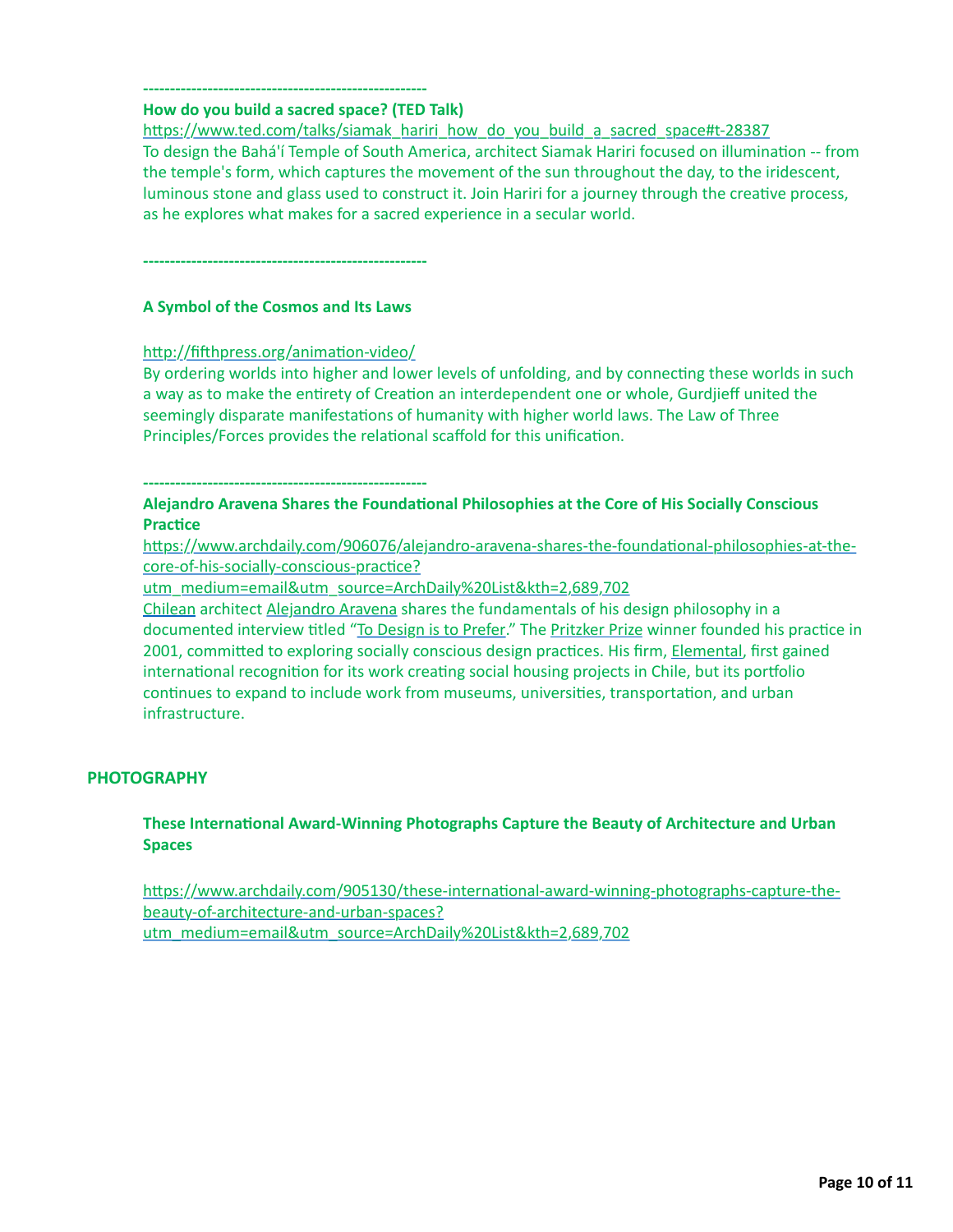#### **----------------------------------------------------- How do you build a sacred space? (TED Talk)**

https://www.ted.com/talks/siamak\_hariri\_how\_do\_you\_build\_a\_sacred\_space#t-28387 To design the Bahá'í Temple of South America, architect Siamak Hariri focused on illumination -- from the temple's form, which captures the movement of the sun throughout the day, to the iridescent, luminous stone and glass used to construct it. Join Hariri for a journey through the creative process, as he explores what makes for a sacred experience in a secular world.

**-----------------------------------------------------**

## **A Symbol of the Cosmos and Its Laws**

#### http://fifthpress.org/animation-video/

By ordering worlds into higher and lower levels of unfolding, and by connecting these worlds in such a way as to make the entirety of Creation an interdependent one or whole, Gurdjieff united the seemingly disparate manifestations of humanity with higher world laws. The Law of Three Principles/Forces provides the relational scaffold for this unification.

**-----------------------------------------------------**

## Alejandro Aravena Shares the Foundational Philosophies at the Core of His Socially Conscious **Practice**

https://www.archdaily.com/906076/alejandro-aravena-shares-the-foundational-philosophies-at-thecore-of-his-socially-conscious-practice?

utm\_medium=email&utm\_source=ArchDaily%20List&kth=2,689,702

[Chilean](https://www.archdaily.com/country/chile) architect [Alejandro Aravena](https://www.archdaily.com/tag/alejandro-aravena) shares the fundamentals of his design philosophy in a documented interview titled ["To Design is to Prefer](https://vimeo.com/300972365?utm_medium=website&utm_source=archdaily.com)." The [Pritzker Prize](https://www.archdaily.com/tag/pritzker-prize) winner founded his practice in 2001, committed to exploring socially conscious design practices. His firm, [Elemental](https://www.archdaily.com/office/elemental), first gained international recognition for its work creating social housing projects in Chile, but its portfolio continues to expand to include work from museums, universities, transportation, and urban infrastructure.

## **PHOTOGRAPHY**

## **These International Award-Winning Photographs Capture the Beauty of Architecture and Urban Spaces**

https://www.archdaily.com/905130/these-international-award-winning-photographs-capture-thebeauty-of-architecture-and-urban-spaces? utm\_medium=email&utm\_source=ArchDaily%20List&kth=2,689,702